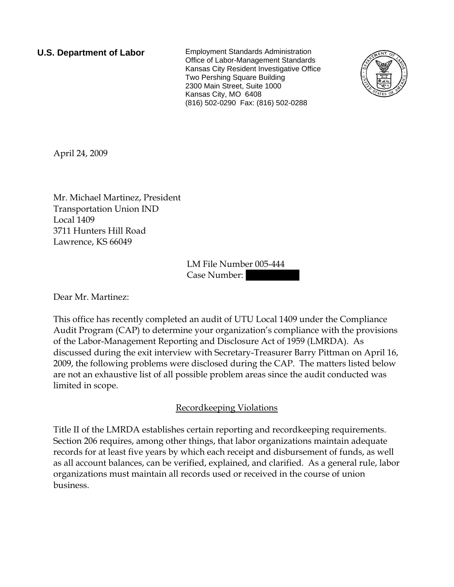**U.S. Department of Labor** Employment Standards Administration Office of Labor-Management Standards Kansas City Resident Investigative Office Two Pershing Square Building 2300 Main Street, Suite 1000 Kansas City, MO 6408 (816) 502-0290 Fax: (816) 502-0288



April 24, 2009

Mr. Michael Martinez, President Transportation Union IND Local 1409 3711 Hunters Hill Road Lawrence, KS 66049

> LM File Number 005-444 Case Number:

Dear Mr. Martinez:

This office has recently completed an audit of UTU Local 1409 under the Compliance Audit Program (CAP) to determine your organization's compliance with the provisions of the Labor-Management Reporting and Disclosure Act of 1959 (LMRDA). As discussed during the exit interview with Secretary-Treasurer Barry Pittman on April 16, 2009, the following problems were disclosed during the CAP. The matters listed below are not an exhaustive list of all possible problem areas since the audit conducted was limited in scope.

### Recordkeeping Violations

Title II of the LMRDA establishes certain reporting and recordkeeping requirements. Section 206 requires, among other things, that labor organizations maintain adequate records for at least five years by which each receipt and disbursement of funds, as well as all account balances, can be verified, explained, and clarified. As a general rule, labor organizations must maintain all records used or received in the course of union business.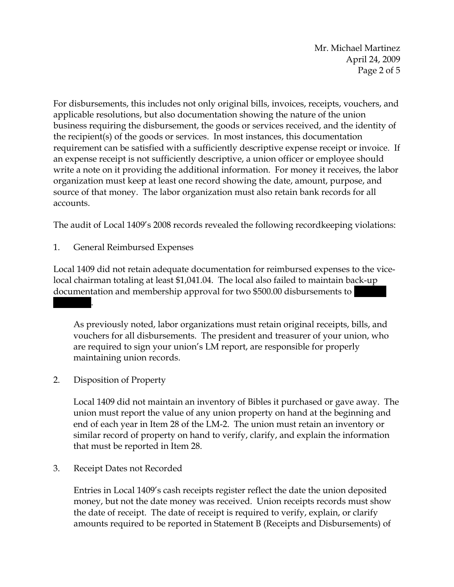Mr. Michael Martinez April 24, 2009 Page 2 of 5

For disbursements, this includes not only original bills, invoices, receipts, vouchers, and applicable resolutions, but also documentation showing the nature of the union business requiring the disbursement, the goods or services received, and the identity of the recipient(s) of the goods or services. In most instances, this documentation requirement can be satisfied with a sufficiently descriptive expense receipt or invoice. If an expense receipt is not sufficiently descriptive, a union officer or employee should write a note on it providing the additional information. For money it receives, the labor organization must keep at least one record showing the date, amount, purpose, and source of that money. The labor organization must also retain bank records for all accounts.

The audit of Local 1409's 2008 records revealed the following recordkeeping violations:

1. General Reimbursed Expenses

Local 1409 did not retain adequate documentation for reimbursed expenses to the vicelocal chairman totaling at least \$1,041.04. The local also failed to maintain back-up documentation and membership approval for two \$500.00 disbursements to |||||||.

As previously noted, labor organizations must retain original receipts, bills, and vouchers for all disbursements. The president and treasurer of your union, who are required to sign your union's LM report, are responsible for properly maintaining union records.

2. Disposition of Property

Local 1409 did not maintain an inventory of Bibles it purchased or gave away. The union must report the value of any union property on hand at the beginning and end of each year in Item 28 of the LM-2. The union must retain an inventory or similar record of property on hand to verify, clarify, and explain the information that must be reported in Item 28.

3. Receipt Dates not Recorded

Entries in Local 1409's cash receipts register reflect the date the union deposited money, but not the date money was received. Union receipts records must show the date of receipt. The date of receipt is required to verify, explain, or clarify amounts required to be reported in Statement B (Receipts and Disbursements) of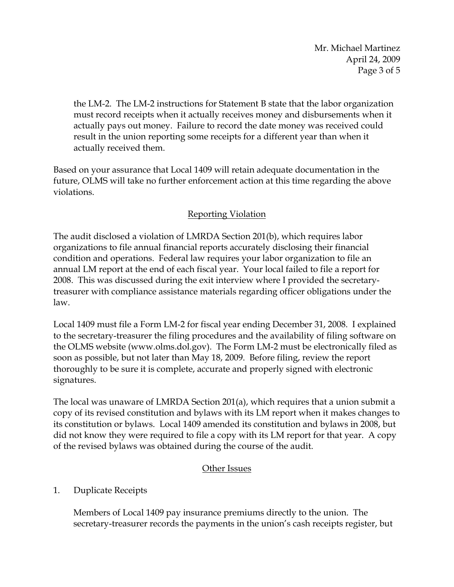Mr. Michael Martinez April 24, 2009 Page 3 of 5

the LM-2. The LM-2 instructions for Statement B state that the labor organization must record receipts when it actually receives money and disbursements when it actually pays out money. Failure to record the date money was received could result in the union reporting some receipts for a different year than when it actually received them.

Based on your assurance that Local 1409 will retain adequate documentation in the future, OLMS will take no further enforcement action at this time regarding the above violations.

# Reporting Violation

The audit disclosed a violation of LMRDA Section 201(b), which requires labor organizations to file annual financial reports accurately disclosing their financial condition and operations. Federal law requires your labor organization to file an annual LM report at the end of each fiscal year. Your local failed to file a report for 2008. This was discussed during the exit interview where I provided the secretarytreasurer with compliance assistance materials regarding officer obligations under the law.

Local 1409 must file a Form LM-2 for fiscal year ending December 31, 2008. I explained to the secretary-treasurer the filing procedures and the availability of filing software on the OLMS website (www.olms.dol.gov). The Form LM-2 must be electronically filed as soon as possible, but not later than May 18, 2009. Before filing, review the report thoroughly to be sure it is complete, accurate and properly signed with electronic signatures.

The local was unaware of LMRDA Section 201(a), which requires that a union submit a copy of its revised constitution and bylaws with its LM report when it makes changes to its constitution or bylaws. Local 1409 amended its constitution and bylaws in 2008, but did not know they were required to file a copy with its LM report for that year. A copy of the revised bylaws was obtained during the course of the audit.

# Other Issues

# 1. Duplicate Receipts

Members of Local 1409 pay insurance premiums directly to the union. The secretary-treasurer records the payments in the union's cash receipts register, but